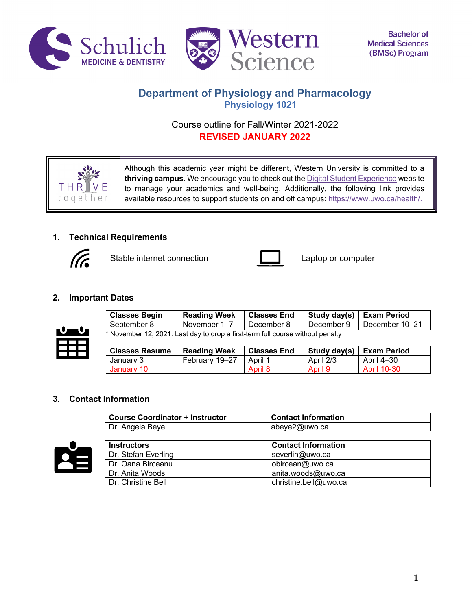



# **Department of Physiology and Pharmacology Physiology 1021**

# Course outline for Fall/Winter 2021-2022 **REVISED JANUARY 2022**

Although this academic year might be different, Western University is committed to a **thriving campus**. We encourage you to check out the Digital Student Experience website to manage your academics and well-being. Additionally, the following link provides available resources to support students on and off campus: https://www.uwo.ca/health/.

# **1. Technical Requirements**



THR toaet

Stable internet connection **Laptop** computer



# **2. Important Dates**



| <b>Classes Begin</b>                                                           | <b>Reading Week</b> | <b>Classes End</b> | Study day(s)   Exam Period |                             |
|--------------------------------------------------------------------------------|---------------------|--------------------|----------------------------|-----------------------------|
| September 8                                                                    | November 1–7        | December 8         |                            | December 9   December 10-21 |
| * November 12, 2021: Last day to drop a first-term full course without penalty |                     |                    |                            |                             |

| <b>Classes Resume</b> | <b>Reading Week</b> | <b>Classes End</b> |           | Study day(s)   Exam Period |
|-----------------------|---------------------|--------------------|-----------|----------------------------|
| <del>January 3</del>  | February 19-27      | April 1            | April 2/3 | April 4-30                 |
| January 10            |                     | April 8            | April 9   | <b>April 10-30</b>         |

# **3. Contact Information**

| <b>Course Coordinator + Instructor</b> | <b>Contact Information</b> |
|----------------------------------------|----------------------------|
| Dr. Angela Beye                        | abeye2@uwo.ca              |



| <b>Instructors</b>  | <b>Contact Information</b> |
|---------------------|----------------------------|
| Dr. Stefan Everling | severlin@uwo.ca            |
| Dr. Oana Birceanu   | obircean@uwo.ca            |
| Dr. Anita Woods     | anita.woods@uwo.ca         |
| Dr. Christine Bell  | christine.bell@uwo.ca      |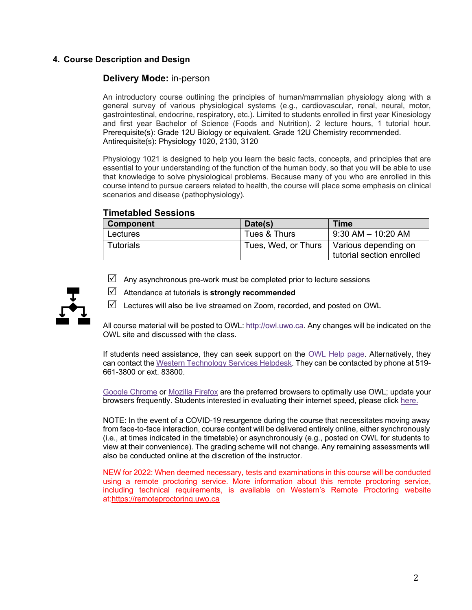# **4. Course Description and Design**

### **Delivery Mode:** in-person

An introductory course outlining the principles of human/mammalian physiology along with a general survey of various physiological systems (e.g., cardiovascular, renal, neural, motor, gastrointestinal, endocrine, respiratory, etc.). Limited to students enrolled in first year Kinesiology and first year Bachelor of Science (Foods and Nutrition). 2 lecture hours, 1 tutorial hour. Prerequisite(s): Grade 12U Biology or equivalent. Grade 12U Chemistry recommended. Antirequisite(s): Physiology 1020, 2130, 3120

Physiology 1021 is designed to help you learn the basic facts, concepts, and principles that are essential to your understanding of the function of the human body, so that you will be able to use that knowledge to solve physiological problems. Because many of you who are enrolled in this course intend to pursue careers related to health, the course will place some emphasis on clinical scenarios and disease (pathophysiology).

# **Timetabled Sessions**

| Component | Date(s)      | Time                                                                    |
|-----------|--------------|-------------------------------------------------------------------------|
| Lectures  | Tues & Thurs | 9:30 AM – 10:20 AM                                                      |
| Tutorials |              | Tues, Wed, or Thurs   Various depending on<br>tutorial section enrolled |

- $\boxtimes$  Any asynchronous pre-work must be completed prior to lecture sessions
- R Attendance at tutorials is **strongly recommended**

 $\boxtimes$  Lectures will also be live streamed on Zoom, recorded, and posted on OWL

All course material will be posted to OWL: http://owl.uwo.ca. Any changes will be indicated on the OWL site and discussed with the class.

If students need assistance, they can seek support on the OWL Help page. Alternatively, they can contact the Western Technology Services Helpdesk. They can be contacted by phone at 519- 661-3800 or ext. 83800.

Google Chrome or Mozilla Firefox are the preferred browsers to optimally use OWL; update your browsers frequently. Students interested in evaluating their internet speed, please click here.

NOTE: In the event of a COVID-19 resurgence during the course that necessitates moving away from face-to-face interaction, course content will be delivered entirely online, either synchronously (i.e., at times indicated in the timetable) or asynchronously (e.g., posted on OWL for students to view at their convenience). The grading scheme will not change. Any remaining assessments will also be conducted online at the discretion of the instructor.

NEW for 2022: When deemed necessary, tests and examinations in this course will be conducted using a remote proctoring service. More information about this remote proctoring service, including technical requirements, is available on Western's Remote Proctoring website at:https://remoteproctoring.uwo.ca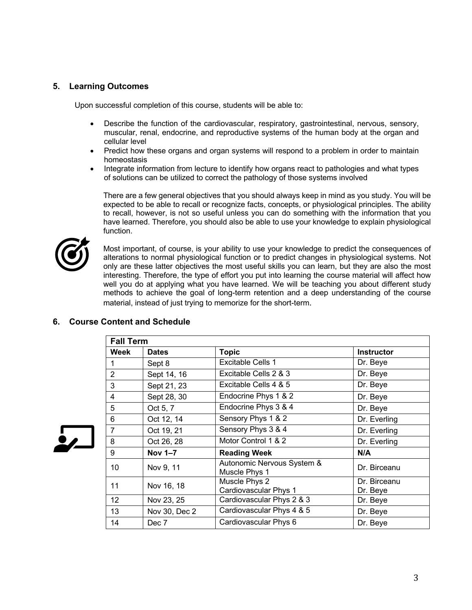### **5. Learning Outcomes**

Upon successful completion of this course, students will be able to:

- Describe the function of the cardiovascular, respiratory, gastrointestinal, nervous, sensory, muscular, renal, endocrine, and reproductive systems of the human body at the organ and cellular level
- Predict how these organs and organ systems will respond to a problem in order to maintain homeostasis
- Integrate information from lecture to identify how organs react to pathologies and what types of solutions can be utilized to correct the pathology of those systems involved

There are a few general objectives that you should always keep in mind as you study. You will be expected to be able to recall or recognize facts, concepts, or physiological principles. The ability to recall, however, is not so useful unless you can do something with the information that you have learned. Therefore, you should also be able to use your knowledge to explain physiological function.



Most important, of course, is your ability to use your knowledge to predict the consequences of alterations to normal physiological function or to predict changes in physiological systems. Not only are these latter objectives the most useful skills you can learn, but they are also the most interesting. Therefore, the type of effort you put into learning the course material will affect how well you do at applying what you have learned. We will be teaching you about different study methods to achieve the goal of long-term retention and a deep understanding of the course material, instead of just trying to memorize for the short-term.

### **6. Course Content and Schedule**

|                | <b>Fall Term</b> |                                             |                          |  |
|----------------|------------------|---------------------------------------------|--------------------------|--|
| Week           | <b>Dates</b>     | <b>Topic</b>                                | <b>Instructor</b>        |  |
| 1              | Sept 8           | Excitable Cells 1                           | Dr. Beye                 |  |
| $\overline{2}$ | Sept 14, 16      | Excitable Cells 2 & 3                       | Dr. Beye                 |  |
| 3              | Sept 21, 23      | Excitable Cells 4 & 5                       | Dr. Beye                 |  |
| $\overline{4}$ | Sept 28, 30      | Endocrine Phys 1 & 2                        | Dr. Beye                 |  |
| 5              | Oct 5, 7         | Endocrine Phys 3 & 4                        | Dr. Beye                 |  |
| 6              | Oct 12, 14       | Sensory Phys 1 & 2                          | Dr. Everling             |  |
| $\overline{7}$ | Oct 19, 21       | Sensory Phys 3 & 4                          | Dr. Everling             |  |
| 8              | Oct 26, 28       | Motor Control 1 & 2                         | Dr. Everling             |  |
| 9              | Nov 1-7          | <b>Reading Week</b>                         | N/A                      |  |
| 10             | Nov 9, 11        | Autonomic Nervous System &<br>Muscle Phys 1 | Dr. Birceanu             |  |
| 11             | Nov 16, 18       | Muscle Phys 2<br>Cardiovascular Phys 1      | Dr. Birceanu<br>Dr. Beye |  |
| 12             | Nov 23, 25       | Cardiovascular Phys 2 & 3                   | Dr. Beye                 |  |
| 13             | Nov 30, Dec 2    | Cardiovascular Phys 4 & 5                   | Dr. Beye                 |  |
| 14             | Dec 7            | Cardiovascular Phys 6                       | Dr. Beye                 |  |

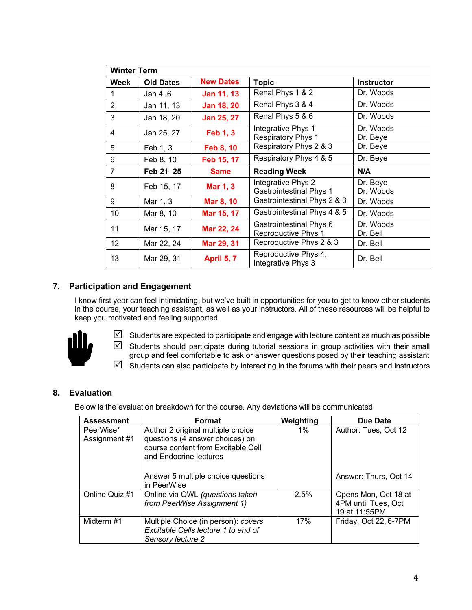|      | <b>Winter Term</b> |                   |                                                      |                       |
|------|--------------------|-------------------|------------------------------------------------------|-----------------------|
| Week | <b>Old Dates</b>   | <b>New Dates</b>  | <b>Topic</b>                                         | <b>Instructor</b>     |
|      | Jan 4, 6           | Jan 11, 13        | Renal Phys 1 & 2                                     | Dr. Woods             |
| 2    | Jan 11, 13         | <b>Jan 18, 20</b> | Renal Phys 3 & 4                                     | Dr. Woods             |
| 3    | Jan 18, 20         | Jan 25, 27        | Renal Phys 5 & 6                                     | Dr. Woods             |
| 4    | Jan 25, 27         | <b>Feb 1, 3</b>   | Integrative Phys 1<br><b>Respiratory Phys 1</b>      | Dr. Woods<br>Dr. Beye |
| 5    | Feb 1, 3           | Feb 8, 10         | Respiratory Phys 2 & 3                               | Dr. Beye              |
| 6    | Feb 8, 10          | Feb 15, 17        | Respiratory Phys 4 & 5                               | Dr. Beye              |
| 7    | Feb 21-25          | <b>Same</b>       | <b>Reading Week</b>                                  | N/A                   |
| 8    | Feb 15, 17         | <b>Mar 1, 3</b>   | Integrative Phys 2<br><b>Gastrointestinal Phys 1</b> | Dr. Beye<br>Dr. Woods |
| 9    | Mar 1, 3           | <b>Mar 8, 10</b>  | Gastrointestinal Phys 2 & 3                          | Dr. Woods             |
| 10   | Mar 8, 10          | Mar 15, 17        | Gastrointestinal Phys 4 & 5                          | Dr. Woods             |
| 11   | Mar 15, 17         | Mar 22, 24        | Gastrointestinal Phys 6<br>Reproductive Phys 1       | Dr. Woods<br>Dr. Bell |
| 12   | Mar 22, 24         | Mar 29, 31        | Reproductive Phys 2 & 3                              | Dr. Bell              |
| 13   | Mar 29, 31         | April 5, 7        | Reproductive Phys 4,<br>Integrative Phys 3           | Dr. Bell              |

# **7. Participation and Engagement**

I know first year can feel intimidating, but we've built in opportunities for you to get to know other students in the course, your teaching assistant, as well as your instructors. All of these resources will be helpful to keep you motivated and feeling supported.



 $\boxtimes$  Students are expected to participate and engage with lecture content as much as possible  $\mathbb N$  Students should participate during tutorial sessions in group activities with their small group and feel comfortable to ask or answer questions posed by their teaching assistant  $\boxtimes$  Students can also participate by interacting in the forums with their peers and instructors

# **8. Evaluation**

Below is the evaluation breakdown for the course. Any deviations will be communicated.

| <b>Assessment</b>          | Format                                                                                                                               | Weighting | Due Date                                                     |
|----------------------------|--------------------------------------------------------------------------------------------------------------------------------------|-----------|--------------------------------------------------------------|
| PeerWise*<br>Assignment #1 | Author 2 original multiple choice<br>questions (4 answer choices) on<br>course content from Excitable Cell<br>and Endocrine lectures | $1\%$     | Author: Tues, Oct 12                                         |
|                            | Answer 5 multiple choice questions<br>in PeerWise                                                                                    |           | Answer: Thurs, Oct 14                                        |
| Online Quiz #1             | Online via OWL (questions taken<br>from PeerWise Assignment 1)                                                                       | 2.5%      | Opens Mon, Oct 18 at<br>4PM until Tues, Oct<br>19 at 11:55PM |
| Midterm #1                 | Multiple Choice (in person): covers<br>Excitable Cells lecture 1 to end of<br>Sensory lecture 2                                      | 17%       | Friday, Oct 22, 6-7PM                                        |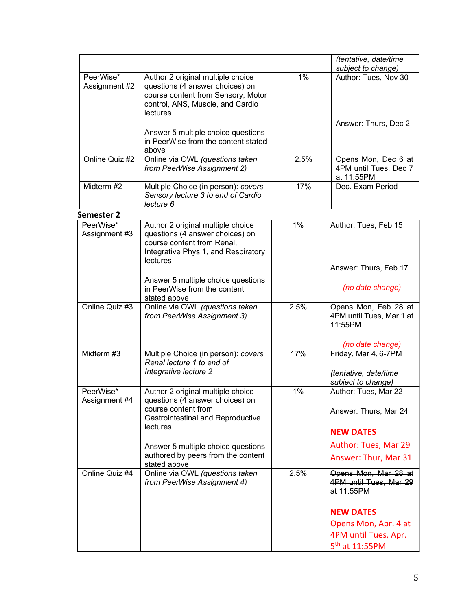|                            |                                                                                                                                                            |      | (tentative, date/time<br>subject to change)                         |
|----------------------------|------------------------------------------------------------------------------------------------------------------------------------------------------------|------|---------------------------------------------------------------------|
| PeerWise*<br>Assignment #2 | Author 2 original multiple choice<br>questions (4 answer choices) on<br>course content from Sensory, Motor<br>control, ANS, Muscle, and Cardio<br>lectures | 1%   | Author: Tues, Nov 30                                                |
|                            | Answer 5 multiple choice questions<br>in PeerWise from the content stated<br>above                                                                         |      | Answer: Thurs, Dec 2                                                |
| Online Quiz #2             | Online via OWL (questions taken<br>from PeerWise Assignment 2)                                                                                             | 2.5% | Opens Mon, Dec 6 at<br>4PM until Tues, Dec 7<br>at 11:55PM          |
| Midterm #2                 | Multiple Choice (in person): covers<br>Sensory lecture 3 to end of Cardio<br>lecture 6                                                                     | 17%  | Dec. Exam Period                                                    |
| <b>Semester 2</b>          |                                                                                                                                                            |      |                                                                     |
| PeerWise*<br>Assignment #3 | Author 2 original multiple choice<br>questions (4 answer choices) on<br>course content from Renal,<br>Integrative Phys 1, and Respiratory<br>lectures      | 1%   | Author: Tues, Feb 15                                                |
|                            |                                                                                                                                                            |      | Answer: Thurs, Feb 17                                               |
|                            | Answer 5 multiple choice questions<br>in PeerWise from the content<br>stated above                                                                         |      | (no date change)                                                    |
| Online Quiz #3             | Online via OWL (questions taken<br>from PeerWise Assignment 3)                                                                                             | 2.5% | Opens Mon, Feb 28 at<br>4PM until Tues, Mar 1 at<br>11:55PM         |
|                            |                                                                                                                                                            |      | (no date change)                                                    |
| Midterm #3                 | Multiple Choice (in person): covers<br>Renal lecture 1 to end of<br>Integrative lecture 2                                                                  | 17%  | Friday, Mar 4, 6-7PM<br>(tentative, date/time<br>subject to change) |
| PeerWise*<br>Assignment #4 | Author 2 original multiple choice<br>questions (4 answer choices) on<br>course content from<br>Gastrointestinal and Reproductive<br>lectures               | 1%   | Author: Tues, Mar 22<br>Answer: Thurs, Mar 24                       |
|                            | Answer 5 multiple choice questions<br>authored by peers from the content                                                                                   |      | <b>NEW DATES</b><br>Author: Tues, Mar 29                            |
|                            | stated above                                                                                                                                               |      | Answer: Thur, Mar 31                                                |
| Online Quiz #4             | Online via OWL (questions taken<br>from PeerWise Assignment 4)                                                                                             | 2.5% | Opens Mon, Mar 28 at<br>4PM until Tues, Mar 29<br>at 11:55PM        |
|                            |                                                                                                                                                            |      | <b>NEW DATES</b>                                                    |
|                            |                                                                                                                                                            |      | Opens Mon, Apr. 4 at                                                |
|                            |                                                                                                                                                            |      | 4PM until Tues, Apr.                                                |
|                            |                                                                                                                                                            |      | 5 <sup>th</sup> at 11:55PM                                          |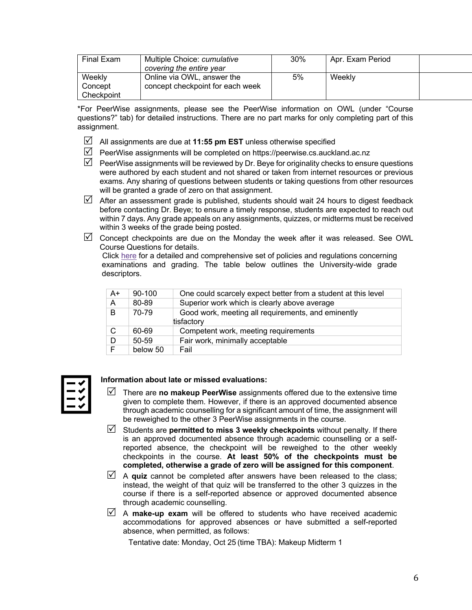| Final Exam                      | Multiple Choice: cumulative<br>covering the entire year        | 30% | Apr. Exam Period |  |
|---------------------------------|----------------------------------------------------------------|-----|------------------|--|
| Weekly<br>Concept<br>Checkpoint | Online via OWL, answer the<br>concept checkpoint for each week | 5%  | Weekly           |  |

\*For PeerWise assignments, please see the PeerWise information on OWL (under "Course questions?" tab) for detailed instructions. There are no part marks for only completing part of this assignment.

- $\boxtimes$  All assignments are due at **11:55 pm EST** unless otherwise specified
- $\triangledown$  PeerWise assignments will be completed on https://peerwise.cs.auckland.ac.nz
- $\triangledown$  PeerWise assignments will be reviewed by Dr. Beye for originality checks to ensure questions were authored by each student and not shared or taken from internet resources or previous exams. Any sharing of questions between students or taking questions from other resources will be granted a grade of zero on that assignment.
- $\boxtimes$  After an assessment grade is published, students should wait 24 hours to digest feedback before contacting Dr. Beye; to ensure a timely response, students are expected to reach out within 7 days. Any grade appeals on any assignments, quizzes, or midterms must be received within 3 weeks of the grade being posted.
- $\triangledown$  Concept checkpoints are due on the Monday the week after it was released. See OWL Course Questions for details.

Click here for a detailed and comprehensive set of policies and regulations concerning examinations and grading. The table below outlines the University-wide grade descriptors.

| $A+$ | $90 - 100$ | One could scarcely expect better from a student at this level |
|------|------------|---------------------------------------------------------------|
| A    | 80-89      | Superior work which is clearly above average                  |
| B    | 70-79      | Good work, meeting all requirements, and eminently            |
|      |            | tisfactory                                                    |
| C    | 60-69      | Competent work, meeting requirements                          |
| D    | $50 - 59$  | Fair work, minimally acceptable                               |
|      | below 50   | Fail                                                          |



### **Information about late or missed evaluations:**

- $\mathbb N$  There are **no makeup PeerWise** assignments offered due to the extensive time given to complete them. However, if there is an approved documented absence through academic counselling for a significant amount of time, the assignment will be reweighed to the other 3 PeerWise assignments in the course.
- $\triangledown$  Students are **permitted to miss 3 weekly checkpoints** without penalty. If there is an approved documented absence through academic counselling or a selfreported absence, the checkpoint will be reweighed to the other weekly checkpoints in the course. **At least 50% of the checkpoints must be completed, otherwise a grade of zero will be assigned for this component**.
- $\triangledown$  A **quiz** cannot be completed after answers have been released to the class; instead, the weight of that quiz will be transferred to the other 3 quizzes in the course if there is a self-reported absence or approved documented absence through academic counselling.
- $\triangledown$  A **make-up exam** will be offered to students who have received academic accommodations for approved absences or have submitted a self-reported absence, when permitted, as follows:

Tentative date: Monday, Oct 25 (time TBA): Makeup Midterm 1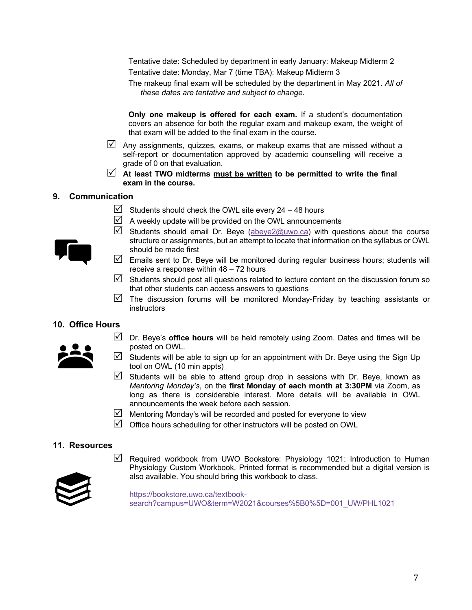Tentative date: Scheduled by department in early January: Makeup Midterm 2 Tentative date: Monday, Mar 7 (time TBA): Makeup Midterm 3

The makeup final exam will be scheduled by the department in May 2021. *All of these dates are tentative and subject to change.*

**Only one makeup is offered for each exam.** If a student's documentation covers an absence for both the regular exam and makeup exam, the weight of that exam will be added to the final exam in the course.

- $\boxtimes$  Any assignments, quizzes, exams, or makeup exams that are missed without a self-report or documentation approved by academic counselling will receive a grade of 0 on that evaluation.
- $\mathbb{Z}$  At least TWO midterms must be written to be permitted to write the final **exam in the course.**

#### **9. Communication**

- $\boxtimes$  Students should check the OWL site every 24 48 hours
- $\triangledown$  A weekly update will be provided on the OWL announcements
- $\triangledown$  Students should email Dr. Beye (abeye2@uwo.ca) with questions about the course structure or assignments, but an attempt to locate that information on the syllabus or OWL should be made first
- $\mathbb N$  Emails sent to Dr. Beye will be monitored during regular business hours; students will receive a response within 48 – 72 hours
- $\boxtimes$  Students should post all questions related to lecture content on the discussion forum so that other students can access answers to questions
- $\triangledown$  The discussion forums will be monitored Monday-Friday by teaching assistants or instructors

### **10. Office Hours**



- $\triangledown$  Dr. Beye's **office hours** will be held remotely using Zoom. Dates and times will be posted on OWL.
- $\boxtimes$  Students will be able to sign up for an appointment with Dr. Beye using the Sign Up tool on OWL (10 min appts)
- $\boxtimes$  Students will be able to attend group drop in sessions with Dr. Beye, known as *Mentoring Monday's*, on the **first Monday of each month at 3:30PM** via Zoom, as long as there is considerable interest. More details will be available in OWL announcements the week before each session.
- $\triangledown$  Mentoring Monday's will be recorded and posted for everyone to view
- $\boxtimes$  Office hours scheduling for other instructors will be posted on OWL

### **11. Resources**

 $\triangledown$  Required workbook from UWO Bookstore: Physiology 1021: Introduction to Human Physiology Custom Workbook. Printed format is recommended but a digital version is also available. You should bring this workbook to class.



https://bookstore.uwo.ca/textbooksearch?campus=UWO&term=W2021&courses%5B0%5D=001\_UW/PHL1021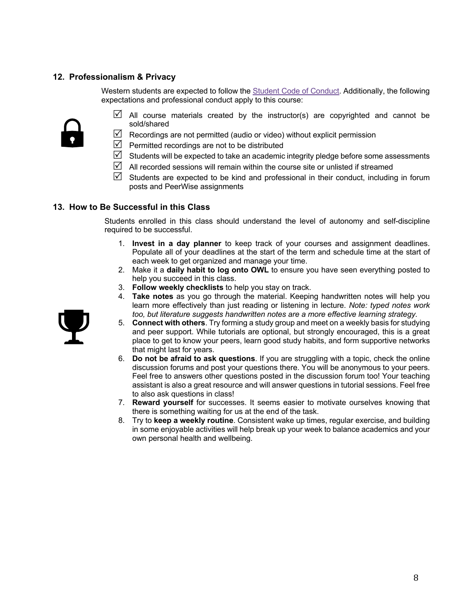# **12. Professionalism & Privacy**

Western students are expected to follow the Student Code of Conduct. Additionally, the following expectations and professional conduct apply to this course:



- $\boxtimes$  All course materials created by the instructor(s) are copyrighted and cannot be sold/shared
- $\boxtimes$  Recordings are not permitted (audio or video) without explicit permission
- $\triangledown$  Permitted recordings are not to be distributed
- $\boxtimes$  Students will be expected to take an academic integrity pledge before some assessments
- $\mathbb N$  All recorded sessions will remain within the course site or unlisted if streamed
- $\boxtimes$  Students are expected to be kind and professional in their conduct, including in forum posts and PeerWise assignments

### **13. How to Be Successful in this Class**

Students enrolled in this class should understand the level of autonomy and self-discipline required to be successful.

- 1. **Invest in a day planner** to keep track of your courses and assignment deadlines. Populate all of your deadlines at the start of the term and schedule time at the start of each week to get organized and manage your time.
- 2. Make it a **daily habit to log onto OWL** to ensure you have seen everything posted to help you succeed in this class.
- 3. **Follow weekly checklists** to help you stay on track.
- 4. **Take notes** as you go through the material. Keeping handwritten notes will help you learn more effectively than just reading or listening in lecture. *Note: typed notes work too, but literature suggests handwritten notes are a more effective learning strategy.*
- 5. **Connect with others**. Try forming a study group and meet on a weekly basis for studying and peer support. While tutorials are optional, but strongly encouraged, this is a great place to get to know your peers, learn good study habits, and form supportive networks that might last for years.
- 6. **Do not be afraid to ask questions**. If you are struggling with a topic, check the online discussion forums and post your questions there. You will be anonymous to your peers. Feel free to answers other questions posted in the discussion forum too! Your teaching assistant is also a great resource and will answer questions in tutorial sessions. Feel free to also ask questions in class!
- 7. **Reward yourself** for successes. It seems easier to motivate ourselves knowing that there is something waiting for us at the end of the task.
- 8. Try to **keep a weekly routine**. Consistent wake up times, regular exercise, and building in some enjoyable activities will help break up your week to balance academics and your own personal health and wellbeing.

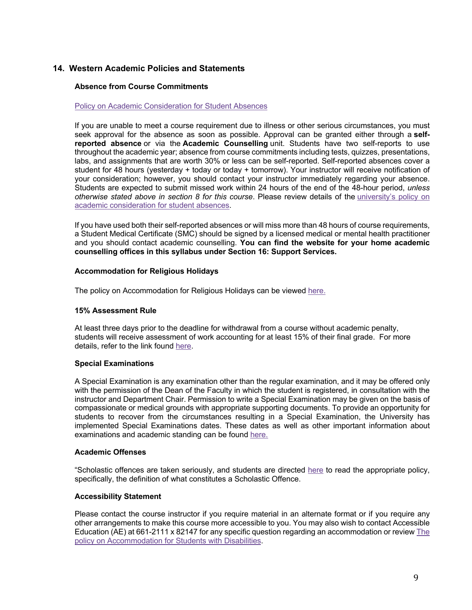# **14. Western Academic Policies and Statements**

#### **Absence from Course Commitments**

#### Policy on Academic Consideration for Student Absences

If you are unable to meet a course requirement due to illness or other serious circumstances, you must seek approval for the absence as soon as possible. Approval can be granted either through a **selfreported absence** or via the **Academic Counselling** unit. Students have two self-reports to use throughout the academic year; absence from course commitments including tests, quizzes, presentations, labs, and assignments that are worth 30% or less can be self-reported. Self-reported absences cover a student for 48 hours (yesterday + today or today + tomorrow). Your instructor will receive notification of your consideration; however, you should contact your instructor immediately regarding your absence. Students are expected to submit missed work within 24 hours of the end of the 48-hour period, *unless otherwise stated above in section 8 for this course*. Please review details of the university's policy on academic consideration for student absences.

If you have used both their self-reported absences or will miss more than 48 hours of course requirements, a Student Medical Certificate (SMC) should be signed by a licensed medical or mental health practitioner and you should contact academic counselling. **You can find the website for your home academic counselling offices in this syllabus under Section 16: Support Services.**

#### **Accommodation for Religious Holidays**

The policy on Accommodation for Religious Holidays can be viewed here.

#### **15% Assessment Rule**

At least three days prior to the deadline for withdrawal from a course without academic penalty, students will receive assessment of work accounting for at least 15% of their final grade. For more details, refer to the link found here.

#### **Special Examinations**

A Special Examination is any examination other than the regular examination, and it may be offered only with the permission of the Dean of the Faculty in which the student is registered, in consultation with the instructor and Department Chair. Permission to write a Special Examination may be given on the basis of compassionate or medical grounds with appropriate supporting documents. To provide an opportunity for students to recover from the circumstances resulting in a Special Examination, the University has implemented Special Examinations dates. These dates as well as other important information about examinations and academic standing can be found here.

#### **Academic Offenses**

"Scholastic offences are taken seriously, and students are directed here to read the appropriate policy, specifically, the definition of what constitutes a Scholastic Offence.

#### **Accessibility Statement**

Please contact the course instructor if you require material in an alternate format or if you require any other arrangements to make this course more accessible to you. You may also wish to contact Accessible Education (AE) at 661-2111 x 82147 for any specific question regarding an accommodation or review The policy on Accommodation for Students with Disabilities.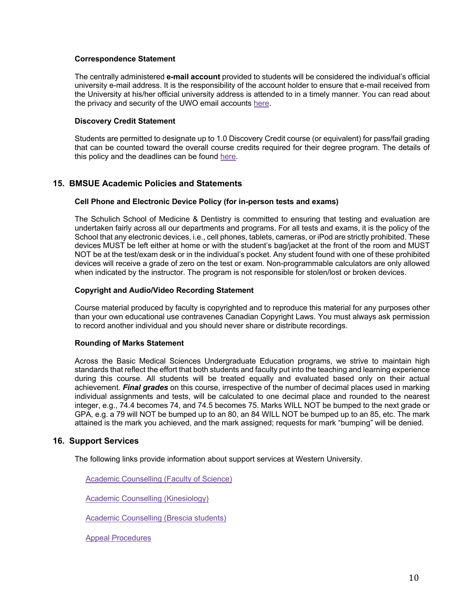#### **Correspondence Statement**

The centrally administered **e-mail account** provided to students will be considered the individual's official university e-mail address. It is the responsibility of the account holder to ensure that e-mail received from the University at his/her official university address is attended to in a timely manner. You can read about the privacy and security of the UWO email accounts here.

#### **Discovery Credit Statement**

Students are permitted to designate up to 1.0 Discovery Credit course (or equivalent) for pass/fail grading that can be counted toward the overall course credits required for their degree program. The details of this policy and the deadlines can be found here.

### **15. BMSUE Academic Policies and Statements**

#### **Cell Phone and Electronic Device Policy (for in-person tests and exams)**

The Schulich School of Medicine & Dentistry is committed to ensuring that testing and evaluation are undertaken fairly across all our departments and programs. For all tests and exams, it is the policy of the School that any electronic devices, i.e., cell phones, tablets, cameras, or iPod are strictly prohibited. These devices MUST be left either at home or with the student's bag/jacket at the front of the room and MUST NOT be at the test/exam desk or in the individual's pocket. Any student found with one of these prohibited devices will receive a grade of zero on the test or exam. Non-programmable calculators are only allowed when indicated by the instructor. The program is not responsible for stolen/lost or broken devices.

### **Copyright and Audio/Video Recording Statement**

Course material produced by faculty is copyrighted and to reproduce this material for any purposes other than your own educational use contravenes Canadian Copyright Laws. You must always ask permission to record another individual and you should never share or distribute recordings.

#### **Rounding of Marks Statement**

Across the Basic Medical Sciences Undergraduate Education programs, we strive to maintain high standards that reflect the effort that both students and faculty put into the teaching and learning experience during this course. All students will be treated equally and evaluated based only on their actual achievement. *Final grades* on this course, irrespective of the number of decimal places used in marking individual assignments and tests, will be calculated to one decimal place and rounded to the nearest integer, e.g., 74.4 becomes 74, and 74.5 becomes 75. Marks WILL NOT be bumped to the next grade or GPA, e.g. a 79 will NOT be bumped up to an 80, an 84 WILL NOT be bumped up to an 85, etc. The mark attained is the mark you achieved, and the mark assigned; requests for mark "bumping" will be denied.

### **16. Support Services**

The following links provide information about support services at Western University.

Academic Counselling (Faculty of Science)

Academic Counselling (Kinesiology)

Academic Counselling (Brescia students)

Appeal Procedures